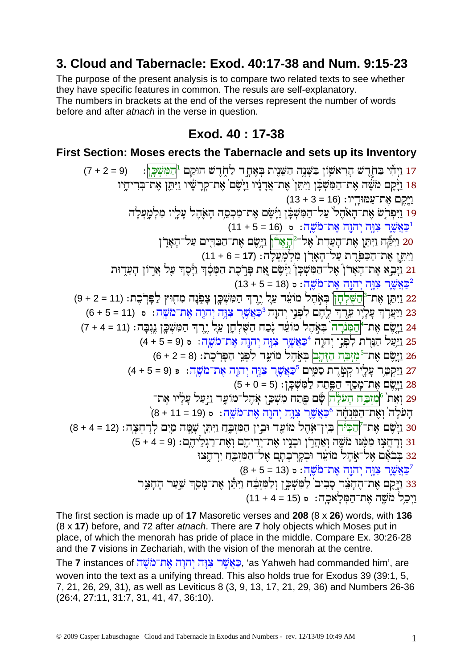# 3. Cloud and Tabernacle: Exod. 40:17-38 and Num. 9:15-23

The purpose of the present analysis is to compare two related texts to see whether they have specific features in common. The resuls are self-explanatory. The numbers in brackets at the end of the verses represent the number of words before and after *atnach* in the verse in question.

# Exod. 40: 17-38

#### First Section: Moses erects the Tabernacle and sets up its Inventory

17 וַיִּהְי בַּחֹדֵשׁ הַרְאֹשֵׂוֹן בַּשֶּׁנֵה הַשֶּׁנֵית בִּאָחַד לַחִדֵשׁ הוּקַם <sup>וּ</sup>הַמְּשִׁכֵּן:  $(7 + 2 = 9)$ 18 <u>ויק</u>ם משה את־המשכו ויתו` את־אַדניו וישם` את־קרָשִׂיו וַיִּתֵן את־בְרִיחָיו וַיֵּקֵם אֶת־עֲמוּדָיו: (16 = 3 + 13) - יְהִי עֵלִיוּ אֲדִיהָיֹ עַל־הַמִּשְׁבֶּן וַיָּשֵׁם אֵת־מִכְסֵה הָאָהֵל עָלָיוּ מִלְמָעִלָּה<br>19 וַיִּפְרֹשׁ אֵת־הָאֹהֵל עַל־הַמִּשְׁבֶּן וַיָּשֵׁם אֵת־מִכְסֵה הָאָהֵל עָלָיוּ מִלְמָעִלָּה (16 = 5 + 11) פּאֲשֶׁר צִנְה יְהוֶה אֶת־מֹשֶׁה: ס $\frac{1}{2}$  = 5 + 11) 20 וַיִּמֵּה וַיְּתֵן אֶת־הָעֵדָת אֶל־<sup>מְ</sup>הָאָרֹן וַיְשֶׂם אֶת־הַבּדִים עַל־הָאָרֶן וַיִּתֵן אֶת־הַכַּפְּרֶת עַל־הָאָרְן מִלְמַעֲלָה: (17 = 6 + 11) 21 וַיָּבֵא אֶת־הָאָרן אֶל־הַמִּשְׁכָן וַיָּשֶׁם אֶת פְּרָכֶת הַמָּסָוִ וַיָּסֶדְ עַל אַרוֹן הָעֵדִוּת ו (13 + 5 = 18) כאשר צוה יהוה את־מֹשה: ס 22 וַיִּתֵּן אֶת<sup>ְ-מְ</sup>הַשֶּׁלְהָן בְּאָהֶל מוֹעֵד עַלָ יֶרֶךְ הַמִּשְׁכֶן צְפִנָּה מִחְוּץ לַפְּרֹכֶת: (11 = 2 + 9) 23 <u>ויִצְרָךְ עָלְיו עֵרֶךְ לֶהֶם לִפְנִי יְהוָה <sup>3</sup>ּכַּאֲשֶׁר צִוָּה יִהוֵה אֵת־מֹשֵׁה: ס (11 = 5 + 6)</u> 24 וַיָּשֵׂם אֶת־<sup>4</sup>ְהַמְּנֹרָה בְּאָהֵל מוֹעֵד נְכַח הַשָּׁלְחָן עַל יֵרֵך הַמְּשִׁכֶּן נֵגִבָּה: (11 = 4 + 7) 25 וַיַּעֲל הַנֵּרָת לִפְנֵי יְהֹוֶה <sup>4</sup>ּכַּאֲשֶׁר צִוְה יְהוֶה אֶת־מֹשֶׁה: ٥ (5 = 6 + 4) 26 <u>ויש</u>ם את־<sup>5</sup>מזכח הזהם באהל מועד לפני הפרכת: (8 = 2 + 6) 27 ויקטר עליו קטרת סמים <sup>5</sup>כאשר צוּה יהוה את־מֹשה: פ (9 = 5 + 4) 28 וַיֵּשֶׂם אֶת־מַסַדְ הַפַּתַח לַמִּשָׁכֵן: (5 + 0 + 5) 29 ואת` <sup>6</sup>מזבח העלה שם פתח משכן אהל־מועד ויעל עליו את־ .<br>הָעֹלָה וְאֶת־הַמְּנִחָּׁה <sup>5</sup>ַכְּאֲשֶׁר צִוֶּה יְהוֵה אֶת־מֹשֵׁה: ٥ (19 = 11 + 8) 30 וַיָּשֶׁם אֶת־7<mark>הַכִּיּׁר</mark> בֵין־אָהֶל מוֹעֵד וּבִין הַמִּזְבֵּה וַיִּתֵן שָׁמָּה מַיָם לְרָחִצָּה: (12 = 4 + 8) 31 וַרְחֲצִוּ מִמֶּׁנוּ מֹשֵׁה וְאָהָרֹן וּבְנֵיו אֶת־יְדִיהֶם וְאֶת־רַגְלֵיהֶם: (5 + 4 = 9) 32 בבאם אל־אהל מועד ובקרבתם אל־המזבח ירחצו (2 + 5 = 13) כַּאֲשֶׁר צְנֵה יְהוַה אֶת־מֹשֶׁה: סּ 33 וַיַּקֵם אֶת־הֶחַצֶּר סָבִיב לַמְשָׁכֵן וְלַמְזֶבֶּח וַיְהֶן אֶת־מַסֶךְ שָׁעַר הֶחָצֶר וַיְכֵל מֹשֶׁה אֶת־הַמָּלַאכָה: פּ (15 = 4 + 11)

The first section is made up of 17 Masoretic verses and 208 (8 x 26) words, with 136 (8 x 17) before, and 72 after *atnach*. There are 7 holy objects which Moses put in place, of which the menorah has pride of place in the middle. Compare Ex. 30:26-28 and the 7 visions in Zechariah, with the vision of the menorah at the centre.

The **7** instances of פְּאֲשֶׁר צְוַּה יְהוַה אֱת־מֹשֶׁה 'as Yahweh had commanded him', are woven into the text as a unifying thread. This also holds true for Exodus 39 (39:1, 5, 7, 21, 26, 29, 31), as well as Leviticus 8 (3, 9, 13, 17, 21, 29, 36) and Numbers 26-36 (26:4, 27:11, 31:7, 31, 41, 47, 36:10).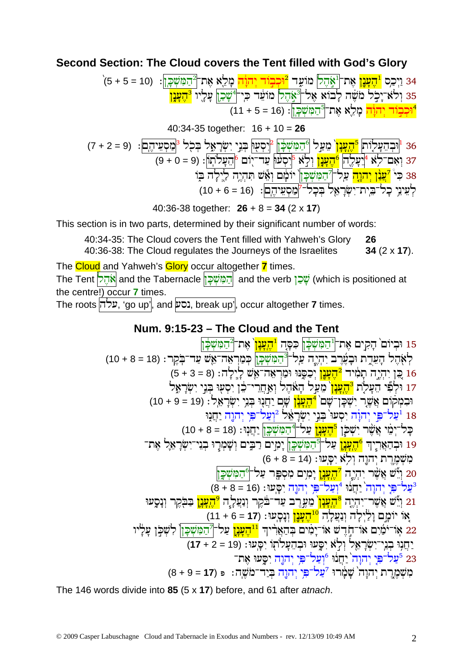## Second Section: The Cloud covers the Tent filled with God's Glory

40:34-35 together:  $16 + 10 = 26$ 

40:36-38 together:  $26 + 8 = 34 (2 \times 17)$ 

This section is in two parts, determined by their significant number of words:

40:34-35: The Cloud covers the Tent filled with Yahweh's Glory 26 40:36-38: The Cloud regulates the Journeys of the Israelites 34 $(2 \times 17)$ .

The Cloud and Yahweh's Glory occur altogether 7 times. The Tent <mark>אֹהֶל and the Tabernacle הַמִּשְׁכָּן and the verb שָׁכַן (which is positioned at</mark> the centre!) occur  $7$  times.

The roots עלה, 'go up', and נסע, break up', occur altogether 7 times.

# Num. 9:15-23 - The Cloud and the Tent

The 146 words divide into 85  $(5 \times 17)$  before, and 61 after at nach.